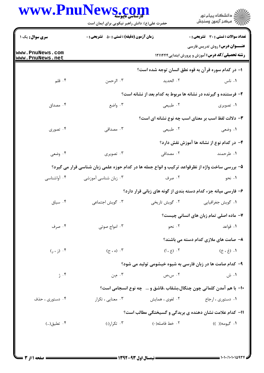|                                    | <b>کی استاسی تاپیوسته</b><br>حضرت علی(ع): دانش راهبر نیکویی برای ایمان است                      |                                                                       | ڪ دانشڪاه پيام نور<br>//> مرڪز آزمون وسنڊش                                                      |
|------------------------------------|-------------------------------------------------------------------------------------------------|-----------------------------------------------------------------------|-------------------------------------------------------------------------------------------------|
| <b>سری سوال :</b> یک ۱             | <b>زمان آزمون (دقیقه) : تستی : 50 ٪ تشریحی : 0</b>                                              |                                                                       | تعداد سوالات : تستى : 30 - تشريحي : 0                                                           |
| www.PnuNews.com<br>www.PnuNews.net |                                                                                                 |                                                                       | <b>عنـــوان درس:</b> روش تدریس فارسی<br><b>رشته تحصیلی/کد درس:</b> آموزش و پرورش ابتدایی1۲۱۱۴۴۴ |
|                                    |                                                                                                 | ۱– در کدام سوره قرآن به قوه نطق انسان توجه شده است؟                   |                                                                                                 |
| ۰۴ قلم                             | ۰۳ الرحمن                                                                                       | ۰۲ الحديد                                                             | ۰۱ ناس                                                                                          |
|                                    |                                                                                                 | ۲- فرستنده و گیرنده در نشانه ها مربوط به کدام بعد از نشانه است؟       |                                                                                                 |
| ۰۴ مصداق                           | ۰۳ واضع                                                                                         | ۰۲ طبیعی                                                              | ۰۱ تصویری                                                                                       |
|                                    |                                                                                                 | ۳- دلالت لفظ اسب بر معنای اسب چه نوع نشانه ای است؟                    |                                                                                                 |
| ۰۴ تصوری                           | ۰۳ مصداقی                                                                                       | ۰۲ طبیعی                                                              | ۰۱ وضعی                                                                                         |
|                                    |                                                                                                 |                                                                       | ۴– در کدام نوع از نشانه ها آموزش نقش دارد؟                                                      |
| ۰۴ وضعی                            | ۰۳ تصویری                                                                                       | ۰۲ مصداقی                                                             | ۰۱ طرحمند                                                                                       |
|                                    | ۵– بررسی ساخت واژه از نظرقواعد ترکیب و انواع جمله ها در کدام حوزه علمی زبان شناسی قرار می گیرد؟ |                                                                       |                                                                                                 |
| ۰۴ آواشناسی                        | ۰۳ زبان شناسی آموزشی                                                                            | ۰۲ صرف                                                                | ۰۱ نحو                                                                                          |
|                                    |                                                                                                 | ۶- فارسی میانه جزء کدام دسته بندی از گونه های زبانی قرار دارد؟        |                                                                                                 |
| ۰۴ سیاق                            | ۰۳ گویش اجتماعی                                                                                 | ۰۲ گویش تاریخی                                                        | ۰۱ گويش جغرافيايي                                                                               |
|                                    |                                                                                                 |                                                                       | ۷- ماده اصلی تمام زبان های انسانی چیست؟                                                         |
| ۰۴ صرف                             | ۰۳ امواج صوتی                                                                                   | ۰۲ نحو                                                                | ۰۱ قواعد                                                                                        |
|                                    |                                                                                                 |                                                                       | ۸– صامت های ملازی کدام دسته می باشند؟                                                           |
| $\lambda$ ۰۶ (ز، ر)                | ۰۳ (ه ، ح)                                                                                      | ۰۲ (ع ، ا)                                                            | ۰۱ (غ۰ خ)                                                                                       |
|                                    |                                                                                                 | ۹- کدام صامت ها در زبان فارسی به شیوه خیشومی تولید می شود؟            |                                                                                                 |
| ۰۴ ژ                               | ۰۳ م $\cdot$ ن                                                                                  | ۰۲ س،ص                                                                | ۱. ش                                                                                            |
|                                    |                                                                                                 | ∙۱- با هم آمدن کلماتی چون چنگال،بشقاب ،قاشق و …   چه نوع انسجامی است؟ |                                                                                                 |
| ۰۴ دستوری ، حذف                    | ۰۳ معنایی ، تکرار                                                                               | ۰۲ لغوی ، همایش                                                       | ۰۱ دستوری ، ارجاع                                                                               |
|                                    |                                                                                                 | 1۱- کدام علامت نشان دهنده ی بریدگی و گسیختگی مطالب است؟               |                                                                                                 |
| ۰۴ تعليق()                         | ۰۳ تکرار(:)                                                                                     | ٢. خط فاصله(-)                                                        | ۰۱ گيومه(( ))                                                                                   |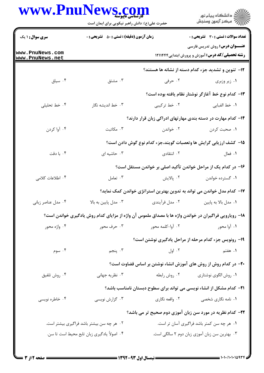| www.PnuN                           | <b>News COD</b><br>حضرت علی(ع): دانش راهبر نیکویی برای ایمان است                                      |                  | ِ<br>∭ دانشڪاه پيام نور<br>∭ مرڪز آزمون وسنڊش                                                   |  |
|------------------------------------|-------------------------------------------------------------------------------------------------------|------------------|-------------------------------------------------------------------------------------------------|--|
| <b>سری سوال : ۱ یک</b>             | <b>زمان آزمون (دقیقه) : تستی : 50 ٪ تشریحی : 0</b>                                                    |                  | <b>تعداد سوالات : تستی : 30 ٪ تشریحی : 0</b>                                                    |  |
| www.PnuNews.com<br>www.PnuNews.net |                                                                                                       |                  | <b>عنـــوان درس:</b> روش تدریس فارسی<br><b>رشته تحصیلی/کد درس:</b> آموزش و پرورش ابتدایی1۲۱۱۴۴۴ |  |
|                                    |                                                                                                       |                  | <b>۱۲</b> - تنوین و تشدید جزء کدام دسته از نشانه ها هستند؟                                      |  |
| ۰۴ سیاق                            | ۰۳ مشتق                                                                                               | ۰۲ حرفی          | ۰۱ زیر وزبری                                                                                    |  |
|                                    |                                                                                                       |                  | ۱۳– کدام نوع خط آغازگر نوشتار نظام یافته بوده است؟                                              |  |
| ۰۴ خط تحلیلی                       | ۰۳ خط اندیشه نگار                                                                                     | ۲. خط ترکیبی     | ٠١. خط الفبايي                                                                                  |  |
|                                    |                                                                                                       |                  | ۱۴– کدام مهارت در دسته بندی مهارتهای ادراکی زبان قرار دارند؟                                    |  |
| ۰۴ آوا کردن                        | ۰۳ مکاتبت                                                                                             | ۰۲ خواندن        | ۰۱ صحبت کردن                                                                                    |  |
|                                    |                                                                                                       |                  | ۱۵– کشف ارزیابی گرایش ها وتعصبات گویند،جزء کدام نوع گوش دادن است؟                               |  |
| ۰۴ با دقت                          | ۰۳ حاشیه ای                                                                                           | ۰۲ انتقادی       | ٠١ فعال                                                                                         |  |
|                                    |                                                                                                       |                  | ۱۶– در کدام یک از مراحل خواندن تأکید اصلی بر خواندن مستقل است؟                                  |  |
| ۰۴ اطلاعات كلامى                   | ۰۳ تعامل                                                                                              | ۰۲ پالایش        | ۰۱ گسترده خواندن                                                                                |  |
|                                    |                                                                                                       |                  | ۱۷– کدام مدل خواندن می تواند به تدوین بهترین استراتژی خواندن کمک نماید؟                         |  |
| ۰۴ مدل عناصر زبانی                 | ۰۳ مدل پایین به بالا                                                                                  | ۰۲ مدل فرآیندی   | ۰۱ مدل بالا به پایین                                                                            |  |
|                                    | ۱۸- رویارویی فراگیران در خواندن واژه ها با مصداق ملموس آن واژه از مزایای کدام روش یادگیری خواندن است؟ |                  |                                                                                                 |  |
| ۰۴ واژه محور                       | ۰۳ حرف محور                                                                                           | ۰۲ آوا-کلمه محور | ۰۱ آوا محور                                                                                     |  |
|                                    |                                                                                                       |                  | ۱۹- رونویس جزء کدام مرحله از مراحل یادگیری نوشتن است؟                                           |  |
| ۰۴ سوم                             | . پنجم                                                                                                |                  | ۰۱ هفتم میستند اول . ۲                                                                          |  |
|                                    |                                                                                                       |                  | +۲- در کدام روش از روش های آموزش انشاء نوشتن بر اساس قضاوت است؟                                 |  |
| ۰۴ روش تلفيق                       | ۰۳ نظریه جهانی                                                                                        | ۰۲ روش رابطه     | ۰۱ روش الگوی نوشتاری                                                                            |  |
|                                    |                                                                                                       |                  | <b>۲۱</b> - کدام مشکل از انشاء نویسی می تواند برای سطوح دبستان نامناسب باشد؟                    |  |
| ۰۴ خاطره نویسی                     | ۰۳ گزارش نویسی                                                                                        | ۲. واقعه نگاري   | ۰۱ نامه نگاری شخصی                                                                              |  |
|                                    |                                                                                                       |                  | ۲۲– کدام نظریه در مورد سن زبان آموزی دوم صحیح تر می باشد؟                                       |  |
|                                    | ۰۲ هر چه سن بیشتر باشد فراگیری بیشتر است.                                                             |                  | ۰۱ هر چه سن کمتر باشد فراگیری آسان تر است.                                                      |  |
|                                    | ۰۴ اصولاً یادگیری زبان تابع محیط است تا سن.                                                           |                  | ۰۳ بهترین سن زبان آموزی زبان دوم ۲ سالگی است.                                                   |  |